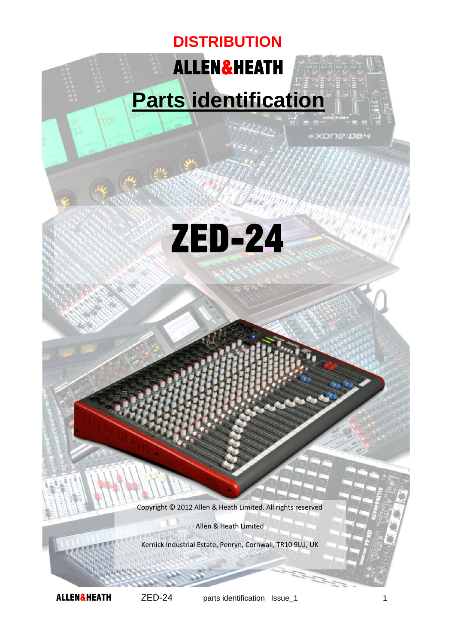## ALLEN&HEATH **DISTRIBUTION**

## **Parts identification**

\*XONE:DB4



Copyright © 2012 Allen & Heath Limited. All rights reserved

Allen & Heath Limited

Kernick Industrial Estate, Penryn, Cornwall, TR10 9LU, UK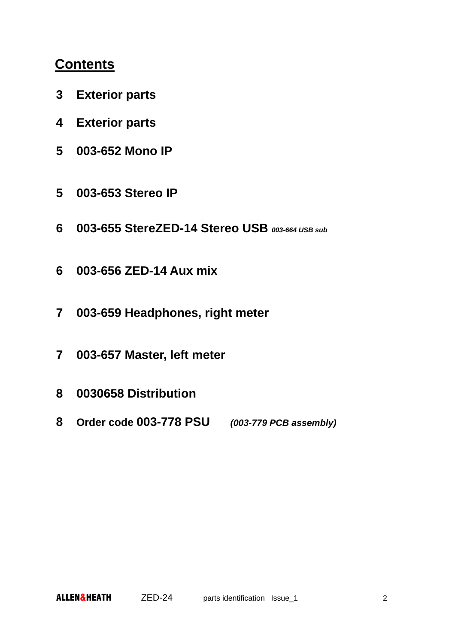## **Contents**

- **3 Exterior parts**
- **4 Exterior parts**
- **5 003-652 Mono IP**
- **5 003-653 Stereo IP**
- **6 003-655 StereZED-14 Stereo USB** *003-664 USB sub*
- **6 003-656 ZED-14 Aux mix**
- **7 003-659 Headphones, right meter**
- **7 003-657 Master, left meter**
- **8 0030658 Distribution**
- **8 Order code 003-778 PSU** *(003-779 PCB assembly)*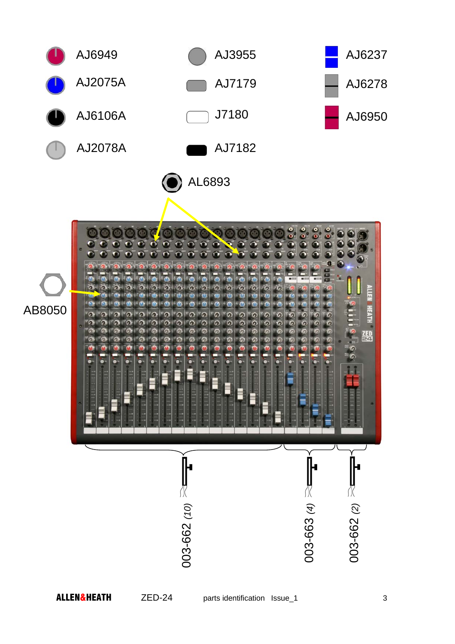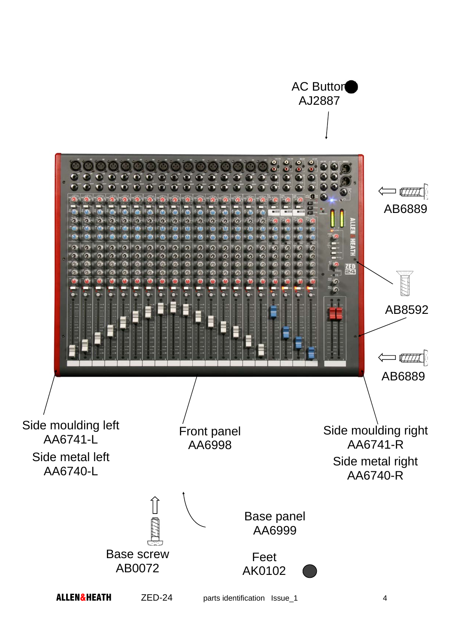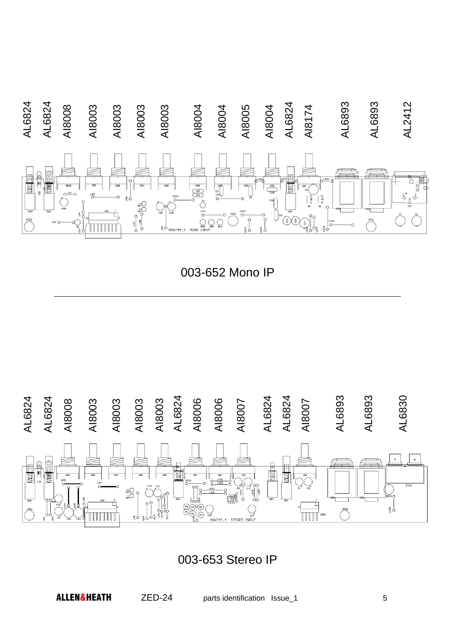

003-652 Mono IP



003-653 Stereo IP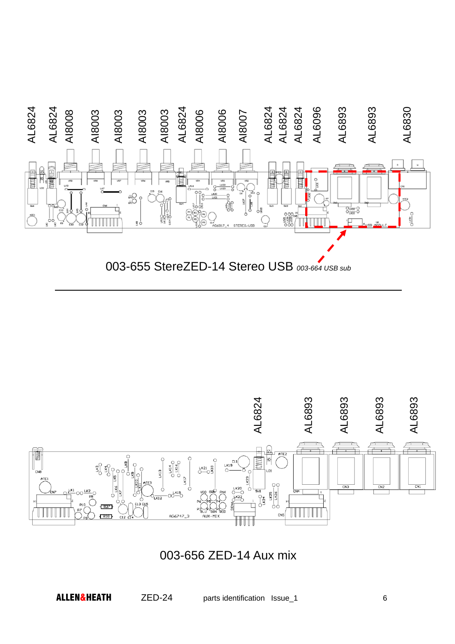

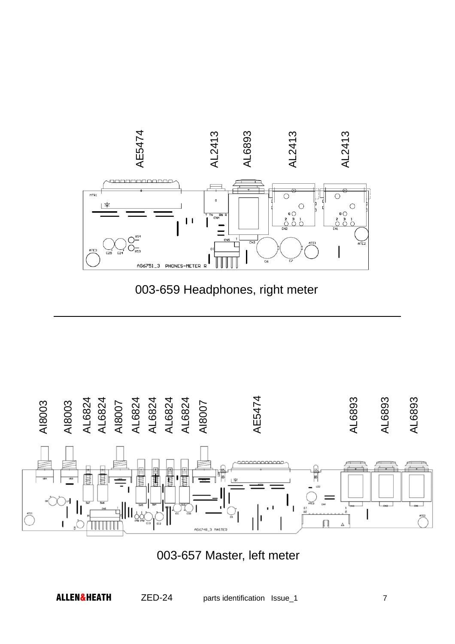



003-657 Master, left meter